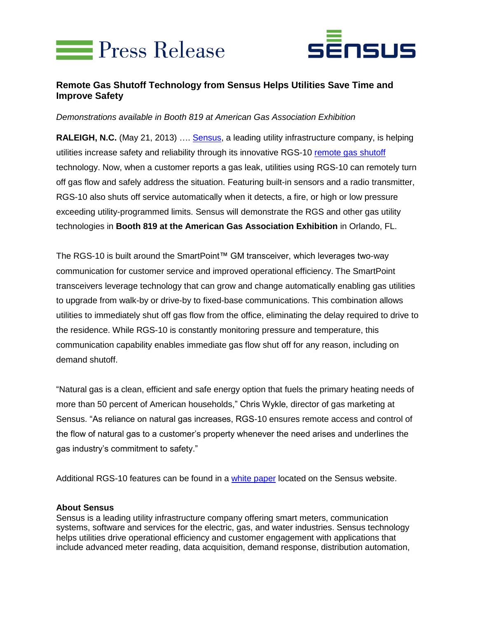



## **Remote Gas Shutoff Technology from Sensus Helps Utilities Save Time and Improve Safety**

*Demonstrations available in Booth 819 at American Gas Association Exhibition*

**RALEIGH, N.C.** (May 21, 2013) …. [Sensus,](http://www.sensus.com/) a leading utility infrastructure company, is helping utilities increase safety and reliability through its innovative RGS-10 [remote gas shutoff](http://sensus.com/web/usca/product?division_id=gas&product_line_id=ami-networks-gas&product_id=remote-gas-shutoff) technology. Now, when a customer reports a gas leak, utilities using RGS-10 can remotely turn off gas flow and safely address the situation. Featuring built-in sensors and a radio transmitter, RGS-10 also shuts off service automatically when it detects, a fire, or high or low pressure exceeding utility-programmed limits. Sensus will demonstrate the RGS and other gas utility technologies in **Booth 819 at the American Gas Association Exhibition** in Orlando, FL.

The RGS-10 is built around the SmartPoint™ GM transceiver, which leverages two-way communication for customer service and improved operational efficiency. The SmartPoint transceivers leverage technology that can grow and change automatically enabling gas utilities to upgrade from walk-by or drive-by to fixed-base communications. This combination allows utilities to immediately shut off gas flow from the office, eliminating the delay required to drive to the residence. While RGS-10 is constantly monitoring pressure and temperature, this communication capability enables immediate gas flow shut off for any reason, including on demand shutoff.

"Natural gas is a clean, efficient and safe energy option that fuels the primary heating needs of more than 50 percent of American households," Chris Wykle, director of gas marketing at Sensus. "As reliance on natural gas increases, RGS-10 ensures remote access and control of the flow of natural gas to a customer's property whenever the need arises and underlines the gas industry's commitment to safety."

Additional RGS-10 features can be found in a [white paper](http://sensus.com/rgs) located on the Sensus website.

## **About Sensus**

Sensus is a leading utility infrastructure company offering smart meters, communication systems, software and services for the electric, gas, and water industries. Sensus technology helps utilities drive operational efficiency and customer engagement with applications that include advanced meter reading, data acquisition, demand response, distribution automation,